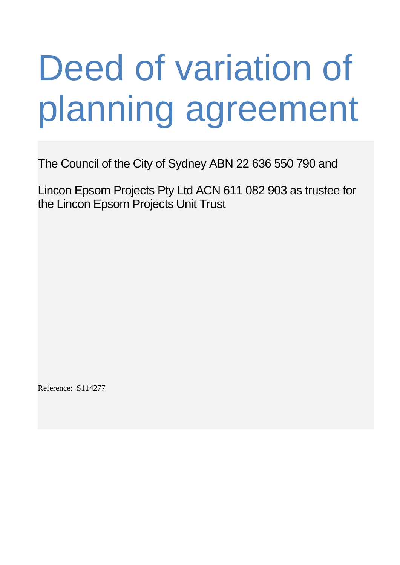# Deed of variation of planning agreement

The Council of the City of Sydney ABN 22 636 550 790 and

Lincon Epsom Projects Pty Ltd ACN 611 082 903 as trustee for the Lincon Epsom Projects Unit Trust

Reference: S114277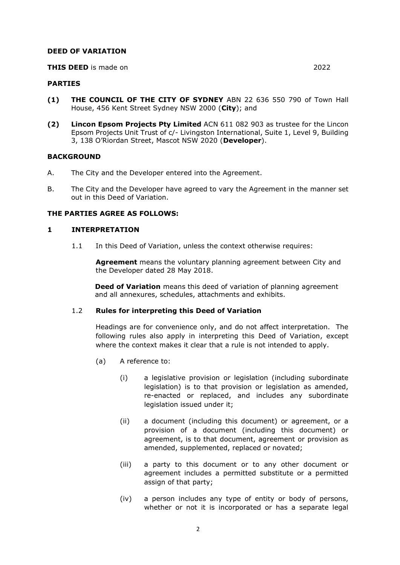#### **DEED OF VARIATION**

#### **THIS DEED** is made on 2022

#### **PARTIES**

- **(1) THE COUNCIL OF THE CITY OF SYDNEY** ABN 22 636 550 790 of Town Hall House, 456 Kent Street Sydney NSW 2000 (**City**); and
- **(2) Lincon Epsom Projects Pty Limited** ACN 611 082 903 as trustee for the Lincon Epsom Projects Unit Trust of c/- Livingston International, Suite 1, Level 9, Building 3, 138 O'Riordan Street, Mascot NSW 2020 (**Developer**).

#### **BACKGROUND**

- A. The City and the Developer entered into the Agreement.
- B. The City and the Developer have agreed to vary the Agreement in the manner set out in this Deed of Variation.

#### **THE PARTIES AGREE AS FOLLOWS:**

#### **1 INTERPRETATION**

1.1 In this Deed of Variation, unless the context otherwise requires:

**Agreement** means the voluntary planning agreement between City and the Developer dated 28 May 2018.

**Deed of Variation** means this deed of variation of planning agreement and all annexures, schedules, attachments and exhibits.

#### 1.2 **Rules for interpreting this Deed of Variation**

Headings are for convenience only, and do not affect interpretation. The following rules also apply in interpreting this Deed of Variation, except where the context makes it clear that a rule is not intended to apply.

- (a) A reference to:
	- (i) a legislative provision or legislation (including subordinate legislation) is to that provision or legislation as amended, re-enacted or replaced, and includes any subordinate legislation issued under it;
	- (ii) a document (including this document) or agreement, or a provision of a document (including this document) or agreement, is to that document, agreement or provision as amended, supplemented, replaced or novated;
	- (iii) a party to this document or to any other document or agreement includes a permitted substitute or a permitted assign of that party;
	- (iv) a person includes any type of entity or body of persons, whether or not it is incorporated or has a separate legal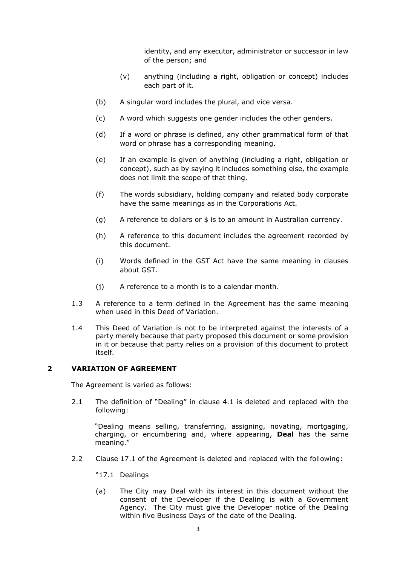identity, and any executor, administrator or successor in law of the person; and

- (v) anything (including a right, obligation or concept) includes each part of it.
- (b) A singular word includes the plural, and vice versa.
- (c) A word which suggests one gender includes the other genders.
- (d) If a word or phrase is defined, any other grammatical form of that word or phrase has a corresponding meaning.
- (e) If an example is given of anything (including a right, obligation or concept), such as by saying it includes something else, the example does not limit the scope of that thing.
- (f) The words subsidiary, holding company and related body corporate have the same meanings as in the Corporations Act.
- (g) A reference to dollars or \$ is to an amount in Australian currency.
- (h) A reference to this document includes the agreement recorded by this document.
- (i) Words defined in the GST Act have the same meaning in clauses about GST.
- (j) A reference to a month is to a calendar month.
- 1.3 A reference to a term defined in the Agreement has the same meaning when used in this Deed of Variation.
- 1.4 This Deed of Variation is not to be interpreted against the interests of a party merely because that party proposed this document or some provision in it or because that party relies on a provision of this document to protect itself.

#### **2 VARIATION OF AGREEMENT**

The Agreement is varied as follows:

2.1 The definition of "Dealing" in clause 4.1 is deleted and replaced with the following:

"Dealing means selling, transferring, assigning, novating, mortgaging, charging, or encumbering and, where appearing, **Deal** has the same meaning."

- 2.2 Clause 17.1 of the Agreement is deleted and replaced with the following:
	- "17.1 Dealings
	- (a) The City may Deal with its interest in this document without the consent of the Developer if the Dealing is with a Government Agency. The City must give the Developer notice of the Dealing within five Business Days of the date of the Dealing.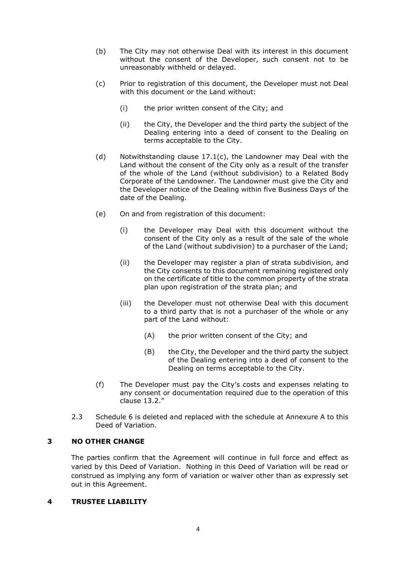- (b) The City may not otherwise Deal with its interest in this document without the consent of the Developer, such consent not to be unreasonably withheld or delayed.
- (c) Prior to registration of this document, the Developer must not Deal with this document or the Land without:
	- (i) the prior written consent of the City; and
	- (ii) the City, the Developer and the third party the subject of the Dealing entering into a deed of consent to the Dealing on terms acceptable to the City.
- (d) Notwithstanding clause 17.1(c), the Landowner may Deal with the Land without the consent of the City only as a result of the transfer of the whole of the Land (without subdivision) to a Related Body Corporate of the Landowner. The Landowner must give the City and the Developer notice of the Dealing within five Business Days of the date of the Dealing.
- (e) On and from registration of this document:
	- (i) the Developer may Deal with this document without the consent of the City only as a result of the sale of the whole of the Land (without subdivision) to a purchaser of the Land;
	- (ii) the Developer may register a plan of strata subdivision, and the City consents to this document remaining registered only on the certificate of title to the common property of the strata plan upon registration of the strata plan; and
	- (iii) the Developer must not otherwise Deal with this document to a third party that is not a purchaser of the whole or any part of the Land without:
		- (A) the prior written consent of the City; and
		- (B) the City, the Developer and the third party the subject of the Dealing entering into a deed of consent to the Dealing on terms acceptable to the City.
- (f) The Developer must pay the City's costs and expenses relating to any consent or documentation required due to the operation of this clause 13.2."
- 2.3 Schedule 6 is deleted and replaced with the schedule at Annexure A to this Deed of Variation.

# **3 NO OTHER CHANGE**

The parties confirm that the Agreement will continue in full force and effect as varied by this Deed of Variation. Nothing in this Deed of Variation will be read or construed as implying any form of variation or waiver other than as expressly set out in this Agreement.

#### **4 TRUSTEE LIABILITY**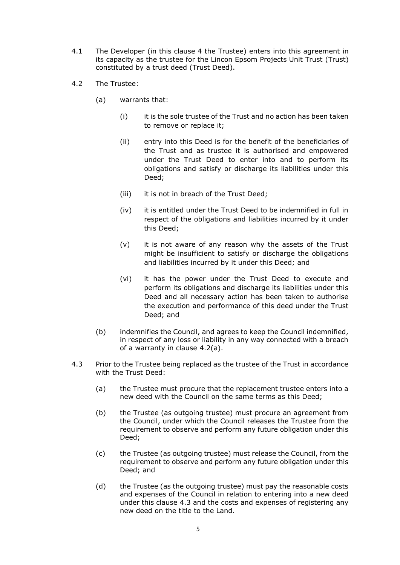- 4.1 The Developer (in this clause 4 the Trustee) enters into this agreement in its capacity as the trustee for the Lincon Epsom Projects Unit Trust (Trust) constituted by a trust deed (Trust Deed).
- <span id="page-4-2"></span><span id="page-4-0"></span>4.2 The Trustee:
	- (a) warrants that:
		- (i) it is the sole trustee of the Trust and no action has been taken to remove or replace it;
		- (ii) entry into this Deed is for the benefit of the beneficiaries of the Trust and as trustee it is authorised and empowered under the Trust Deed to enter into and to perform its obligations and satisfy or discharge its liabilities under this Deed;
		- (iii) it is not in breach of the Trust Deed;
		- (iv) it is entitled under the Trust Deed to be indemnified in full in respect of the obligations and liabilities incurred by it under this Deed;
		- (v) it is not aware of any reason why the assets of the Trust might be insufficient to satisfy or discharge the obligations and liabilities incurred by it under this Deed; and
		- (vi) it has the power under the Trust Deed to execute and perform its obligations and discharge its liabilities under this Deed and all necessary action has been taken to authorise the execution and performance of this deed under the Trust Deed; and
	- (b) indemnifies the Council, and agrees to keep the Council indemnified, in respect of any loss or liability in any way connected with a breach of a warranty in clause [4.2\(a\).](#page-4-0)
- <span id="page-4-1"></span>4.3 Prior to the Trustee being replaced as the trustee of the Trust in accordance with the Trust Deed:
	- (a) the Trustee must procure that the replacement trustee enters into a new deed with the Council on the same terms as this Deed;
	- (b) the Trustee (as outgoing trustee) must procure an agreement from the Council, under which the Council releases the Trustee from the requirement to observe and perform any future obligation under this Deed;
	- (c) the Trustee (as outgoing trustee) must release the Council, from the requirement to observe and perform any future obligation under this Deed; and
	- (d) the Trustee (as the outgoing trustee) must pay the reasonable costs and expenses of the Council in relation to entering into a new deed under this clause [4.3](#page-4-1) and the costs and expenses of registering any new deed on the title to the Land.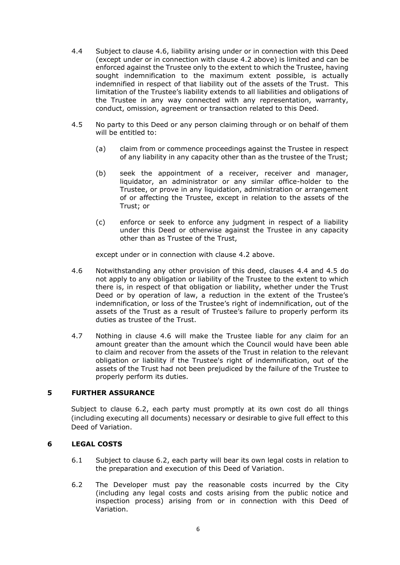- <span id="page-5-1"></span>4.4 Subject to clause [4.6,](#page-5-0) liability arising under or in connection with this Deed (except under or in connection with clause [4.2](#page-4-2) above) is limited and can be enforced against the Trustee only to the extent to which the Trustee, having sought indemnification to the maximum extent possible, is actually indemnified in respect of that liability out of the assets of the Trust. This limitation of the Trustee's liability extends to all liabilities and obligations of the Trustee in any way connected with any representation, warranty, conduct, omission, agreement or transaction related to this Deed.
- <span id="page-5-2"></span>4.5 No party to this Deed or any person claiming through or on behalf of them will be entitled to:
	- (a) claim from or commence proceedings against the Trustee in respect of any liability in any capacity other than as the trustee of the Trust;
	- (b) seek the appointment of a receiver, receiver and manager, liquidator, an administrator or any similar office-holder to the Trustee, or prove in any liquidation, administration or arrangement of or affecting the Trustee, except in relation to the assets of the Trust; or
	- (c) enforce or seek to enforce any judgment in respect of a liability under this Deed or otherwise against the Trustee in any capacity other than as Trustee of the Trust,

except under or in connection with clause [4.2](#page-4-2) above.

- <span id="page-5-0"></span>4.6 Notwithstanding any other provision of this deed, clauses [4.4](#page-5-1) and [4.5](#page-5-2) do not apply to any obligation or liability of the Trustee to the extent to which there is, in respect of that obligation or liability, whether under the Trust Deed or by operation of law, a reduction in the extent of the Trustee's indemnification, or loss of the Trustee's right of indemnification, out of the assets of the Trust as a result of Trustee's failure to properly perform its duties as trustee of the Trust.
- 4.7 Nothing in clause [4.6](#page-5-0) will make the Trustee liable for any claim for an amount greater than the amount which the Council would have been able to claim and recover from the assets of the Trust in relation to the relevant obligation or liability if the Trustee's right of indemnification, out of the assets of the Trust had not been prejudiced by the failure of the Trustee to properly perform its duties.

# **5 FURTHER ASSURANCE**

Subject to clause [6.2,](#page-5-3) each party must promptly at its own cost do all things (including executing all documents) necessary or desirable to give full effect to this Deed of Variation.

## **6 LEGAL COSTS**

- 6.1 Subject to clause [6.2,](#page-5-3) each party will bear its own legal costs in relation to the preparation and execution of this Deed of Variation.
- <span id="page-5-3"></span>6.2 The Developer must pay the reasonable costs incurred by the City (including any legal costs and costs arising from the public notice and inspection process) arising from or in connection with this Deed of Variation.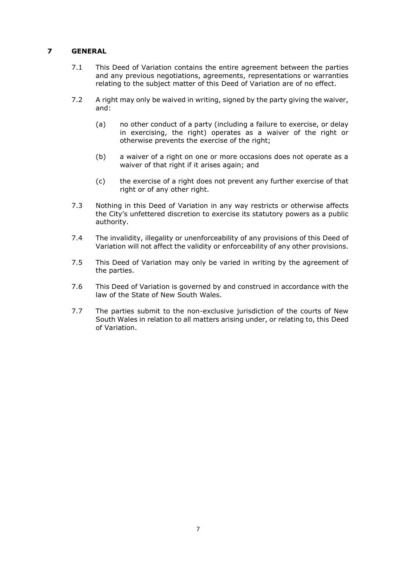# **7 GENERAL**

- 7.1 This Deed of Variation contains the entire agreement between the parties and any previous negotiations, agreements, representations or warranties relating to the subject matter of this Deed of Variation are of no effect.
- 7.2 A right may only be waived in writing, signed by the party giving the waiver, and:
	- (a) no other conduct of a party (including a failure to exercise, or delay in exercising, the right) operates as a waiver of the right or otherwise prevents the exercise of the right;
	- (b) a waiver of a right on one or more occasions does not operate as a waiver of that right if it arises again; and
	- (c) the exercise of a right does not prevent any further exercise of that right or of any other right.
- 7.3 Nothing in this Deed of Variation in any way restricts or otherwise affects the City's unfettered discretion to exercise its statutory powers as a public authority.
- 7.4 The invalidity, illegality or unenforceability of any provisions of this Deed of Variation will not affect the validity or enforceability of any other provisions.
- 7.5 This Deed of Variation may only be varied in writing by the agreement of the parties.
- 7.6 This Deed of Variation is governed by and construed in accordance with the law of the State of New South Wales.
- 7.7 The parties submit to the non-exclusive jurisdiction of the courts of New South Wales in relation to all matters arising under, or relating to, this Deed of Variation.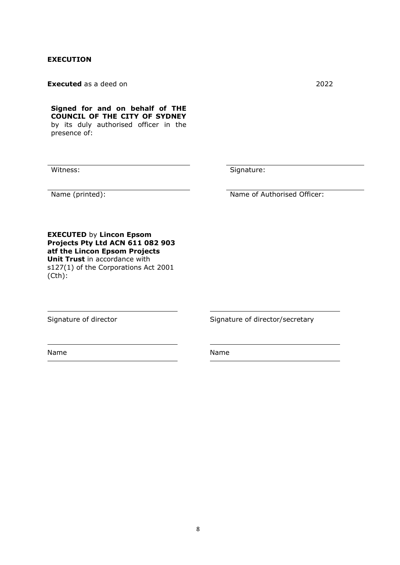## **EXECUTION**

**Executed** as a deed on 2022

**Signed for and on behalf of THE COUNCIL OF THE CITY OF SYDNEY**  by its duly authorised officer in the presence of:

Witness: Signature:

Name (printed): Name of Authorised Officer:

**EXECUTED** by **Lincon Epsom Projects Pty Ltd ACN 611 082 903 atf the Lincon Epsom Projects Unit Trust** in accordance with s127(1) of the Corporations Act 2001 (Cth):

Signature of director Signature of director/secretary

Name Name